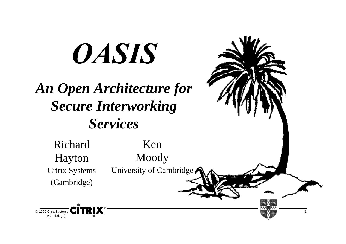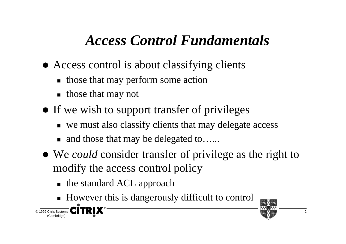## *Access Control Fundamentals*

- Access control is about classifying clients
	- those that may perform some action
	- those that may not
- If we wish to support transfer of privileges
	- we must also classify clients that may delegate access
	- and those that may be delegated to......
- We *could* consider transfer of privilege as the right to modify the access control policy
	- the standard ACL approach
	- However this is dangerously difficult to control

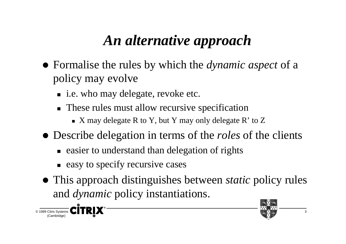## *An alternative approach*

- Formalise the rules by which the *dynamic aspect* of a policy may evolve
	- i.e. who may delegate, revoke etc.
	- These rules must allow recursive specification
		- $\blacksquare$  X may delegate R to Y, but Y may only delegate R' to Z
- Describe delegation in terms of the *roles* of the clients
	- easier to understand than delegation of rights
	- easy to specify recursive cases
- This approach distinguishes between *static* policy rules and *dynamic* policy instantiations.



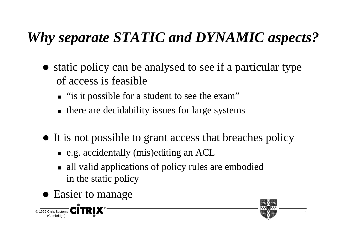# *Why separate STATIC and DYNAMIC aspects?*

- static policy can be analysed to see if a particular type of access is feasible
	- "is it possible for a student to see the exam"
	- there are decidability issues for large systems
- It is not possible to grant access that breaches policy
	- e.g. accidentally (mis)editing an ACL
	- all valid applications of policy rules are embodied in the static policy
- Easier to manage

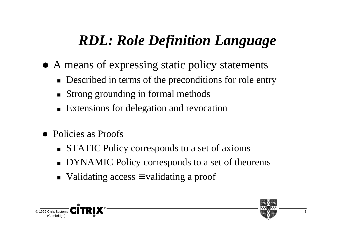## *RDL: Role Definition Language*

- A means of expressing static policy statements
	- Described in terms of the preconditions for role entry
	- Strong grounding in formal methods
	- **Extensions for delegation and revocation**
- Policies as Proofs
	- **STATIC Policy corresponds to a set of axioms**
	- DYNAMIC Policy corresponds to a set of theorems
	- Validating access = validating a proof

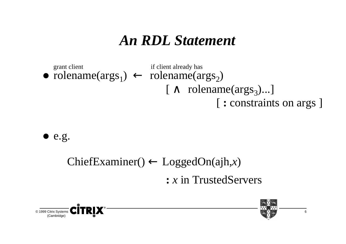#### *An RDL Statement*





#### ChiefExaminer() ← LoggedOn(ajh,*x*) **:** *<sup>x</sup>* in TrustedServers



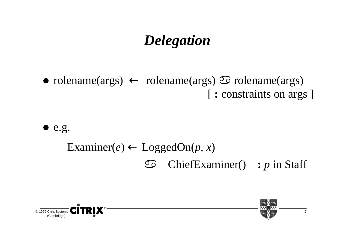## *Delegation*

• rolename(args) ← rolename(args)  $\odot$  rolename(args) [ **:** constraints on args ]

 $\bullet$  e.g.

#### Examiner( $e$ )  $\leftarrow$  LoggedOn( $p, x$ ) ChiefExaminer() **:** *<sup>p</sup>* in Staff

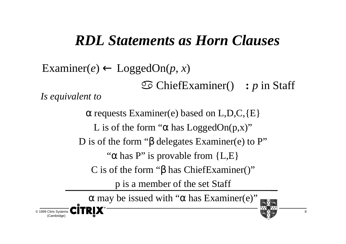#### *RDL Statements as Horn Clauses*

 $\text{Examiner}(e) \leftarrow \text{LoggedOn}(p, x)$  ChiefExaminer() **:** *<sup>p</sup>* in Staff  $\alpha$  requests Examiner(e) based on L,D,C, $\{E\}$ L is of the form " $\alpha$  has LoggedOn( $p, x$ )" D is of the form "β delegates Examiner(e) to P" *Is equivalent to*

" $\alpha$  has P" is provable from {L,E}

C is of the form "β has ChiefExaminer()"

p is a member of the set Staff

 $α$  may be issued with "α has Examiner(e)"



© 1999 Citrix Systems (Cambridge)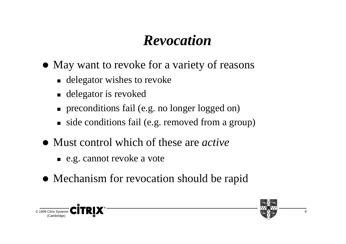## *Revocation*

- May want to revoke for a variety of reasons
	- **delegator wishes to revoke**
	- delegator is revoked
	- **n** preconditions fail (e.g. no longer logged on)
	- side conditions fail (e.g. removed from a group)
- Must control which of these are *active*
	- e.g. cannot revoke a vote
- Mechanism for revocation should be rapid



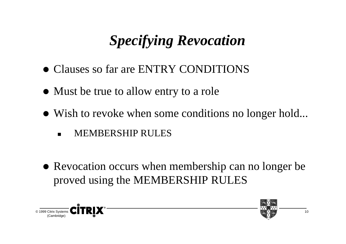# *Specifying Revocation*

- Clauses so far are ENTRY CONDITIONS
- Must be true to allow entry to a role
- Wish to revoke when some conditions no longer hold...
	- -MEMBERSHIP RULES
- Revocation occurs when membership can no longer be proved using the MEMBERSHIP RULES



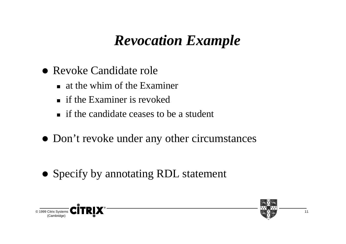#### *Revocation Example*

- Revoke Candidate role
	- at the whim of the Examiner
	- **If the Examiner is revoked**
	- if the candidate ceases to be a student
- Don't revoke under any other circumstances
- Specify by annotating RDL statement



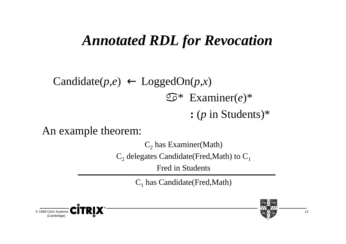## *Annotated RDL for Revocation*

#### Candidate( $p,e$ )  $\leftarrow$  LoggedOn( $p,x$ ) \* Examiner(*e*)\* **:** (*p* in Students)\*

An example theorem:

 $C_2$  has Examiner(Math)

 $C_2$  delegates Candidate(Fred,Math) to  $C_1$ 

Fred in Students

 $C_1$  has Candidate(Fred,Math)



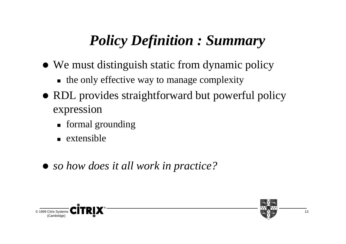# *Policy Definition : Summary*

- We must distinguish static from dynamic policy
	- the only effective way to manage complexity
- RDL provides straightforward but powerful policy expression
	- formal grounding
	- extensible
- *so how does it all work in practice?*



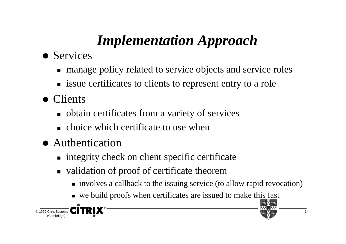# *Implementation Approach*

- Services
	- manage policy related to service objects and service roles
	- **Example 3 issue certificates to clients to represent entry to a role**
- Clients
	- obtain certificates from a variety of services
	- choice which certificate to use when
- Authentication
	- integrity check on client specific certificate
	- validation of proof of certificate theorem
		- involves a callback to the issuing service (to allow rapid revocation)
		- we build proofs when certificates are issued to make this fast

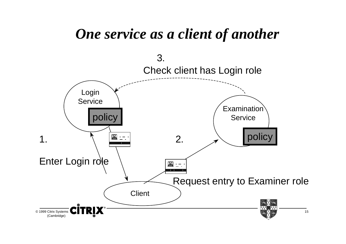#### *One service as a client of another*

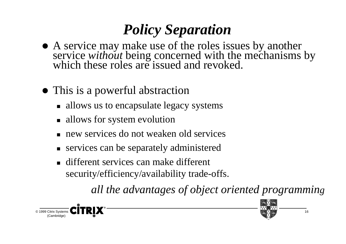# *Policy Separation*

- A service may make use of the roles issues by another service without being concerned with the mechanisms by which these roles are issued and revoked.
- This is a powerful abstraction
	- allows us to encapsulate legacy systems
	- allows for system evolution
	- new services do not weaken old services
	- services can be separately administered
	- different services can make different security/efficiency/availability trade-offs.

*all the advantages of object oriented programming*



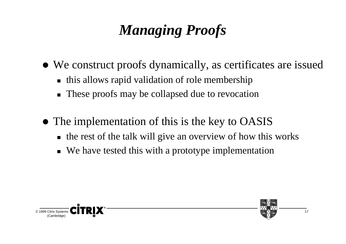# *Managing Proofs*

- We construct proofs dynamically, as certificates are issued
	- this allows rapid validation of role membership
	- These proofs may be collapsed due to revocation
- The implementation of this is the key to OASIS
	- the rest of the talk will give an overview of how this works
	- We have tested this with a prototype implementation



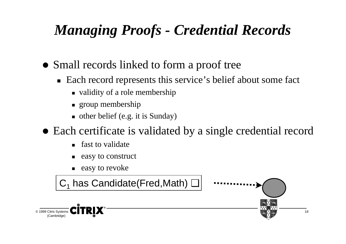## *Managing Proofs - Credential Records*

- Small records linked to form a proof tree
	- Each record represents this service's belief about some fact
		- validity of a role membership
		- group membership
		- other belief (e.g. it is Sunday)
- Each certificate is validated by a single credential record
	- fast to validate
	- easy to construct
	- easy to revoke

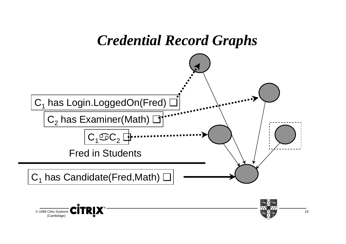

© 1999 Citrix Systems (Cambridge)

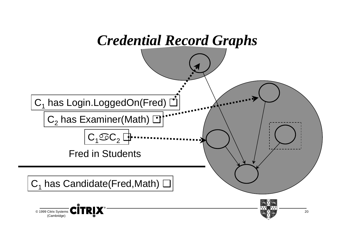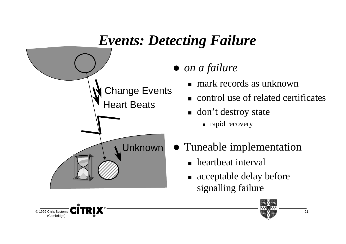# *Events: Detecting Failure on a failure* Change Events Heart Beats Unknown





- mark records as unknown
- control use of related certificates
- don't destroy state
	- rapid recovery
- Tuneable implementation
	- heartbeat interval
	- acceptable delay before signalling failure